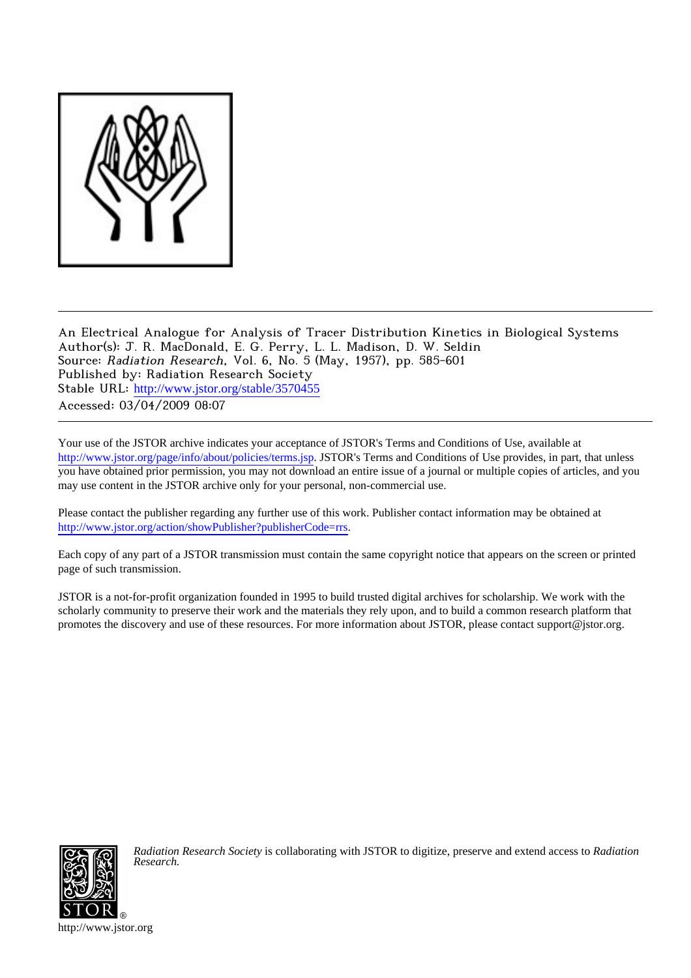

An Electrical Analogue for Analysis of Tracer Distribution Kinetics in Biological Systems Author(s): J. R. MacDonald, E. G. Perry, L. L. Madison, D. W. Seldin Source: Radiation Research, Vol. 6, No. 5 (May, 1957), pp. 585-601 Published by: Radiation Research Society Stable URL: [http://www.jstor.org/stable/3570455](http://www.jstor.org/stable/3570455?origin=JSTOR-pdf) Accessed: 03/04/2009 08:07

Your use of the JSTOR archive indicates your acceptance of JSTOR's Terms and Conditions of Use, available at <http://www.jstor.org/page/info/about/policies/terms.jsp>. JSTOR's Terms and Conditions of Use provides, in part, that unless you have obtained prior permission, you may not download an entire issue of a journal or multiple copies of articles, and you may use content in the JSTOR archive only for your personal, non-commercial use.

Please contact the publisher regarding any further use of this work. Publisher contact information may be obtained at [http://www.jstor.org/action/showPublisher?publisherCode=rrs.](http://www.jstor.org/action/showPublisher?publisherCode=rrs)

Each copy of any part of a JSTOR transmission must contain the same copyright notice that appears on the screen or printed page of such transmission.

JSTOR is a not-for-profit organization founded in 1995 to build trusted digital archives for scholarship. We work with the scholarly community to preserve their work and the materials they rely upon, and to build a common research platform that promotes the discovery and use of these resources. For more information about JSTOR, please contact support@jstor.org.



*Radiation Research Society* is collaborating with JSTOR to digitize, preserve and extend access to *Radiation Research.*

http://www.jstor.org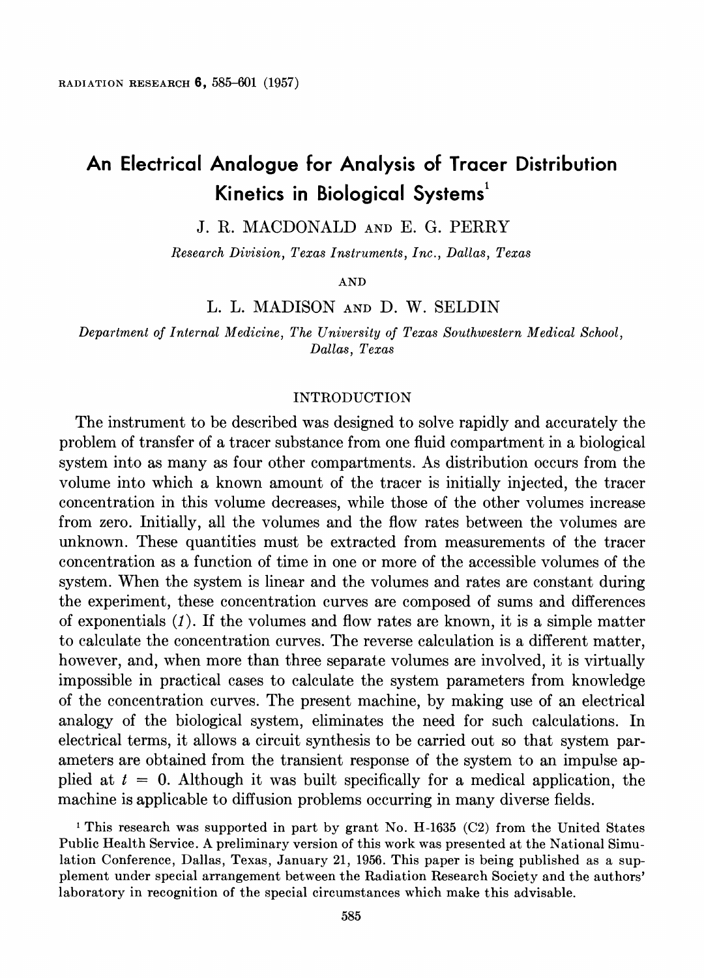# **An Electrical Analogue for Analysis of Tracer Distribution Kinetics in Biological Systems**<sup>1</sup>

**J. R. MACDONALD AND E. G. PERRY** 

**Research Division, Texas Instruments, Inc., Dallas, Texas** 

**AND** 

**L. L. MADISON AND D. W. SELDIN** 

**Department of Internal Medicine, The University of Texas Southwestern Medical School, Dallas, Texas** 

### **INTRODUCTION**

**The instrument to be described was designed to solve rapidly and accurately the problem of transfer of a tracer substance from one fluid compartment in a biological system into as many as four other compartments. As distribution occurs from the volume into which a known amount of the tracer is initially injected, the tracer concentration in this volume decreases, while those of the other volumes increase from zero. Initially, all the volumes and the flow rates between the volumes are unknown. These quantities must be extracted from measurements of the tracer concentration as a function of time in one or more of the accessible volumes of the system. When the system is linear and the volumes and rates are constant during the experiment, these concentration curves are composed of sums and differences of exponentials (1). If the volumes and flow rates are known, it is a simple matter to calculate the concentration curves. The reverse calculation is a different matter, however, and, when more than three separate volumes are involved, it is virtually impossible in practical cases to calculate the system parameters from knowledge of the concentration curves. The present machine, by making use of an electrical analogy of the biological system, eliminates the need for such calculations. In electrical terms, it allows a circuit synthesis to be carried out so that system parameters are obtained from the transient response of the system to an impulse ap**plied at  $t = 0$ . Although it was built specifically for a medical application, the **machine is applicable to diffusion problems occurring in many diverse fields.** 

**1 This research was supported in part by grant No. H-1635 (C2) from the United States Public Health Service. A preliminary version of this work was presented at the National Simulation Conference, Dallas, Texas, January 21, 1956. This paper is being published as a supplement under special arrangement between the Radiation Research Society and the authors' laboratory in recognition of the special circumstances which make this advisable.**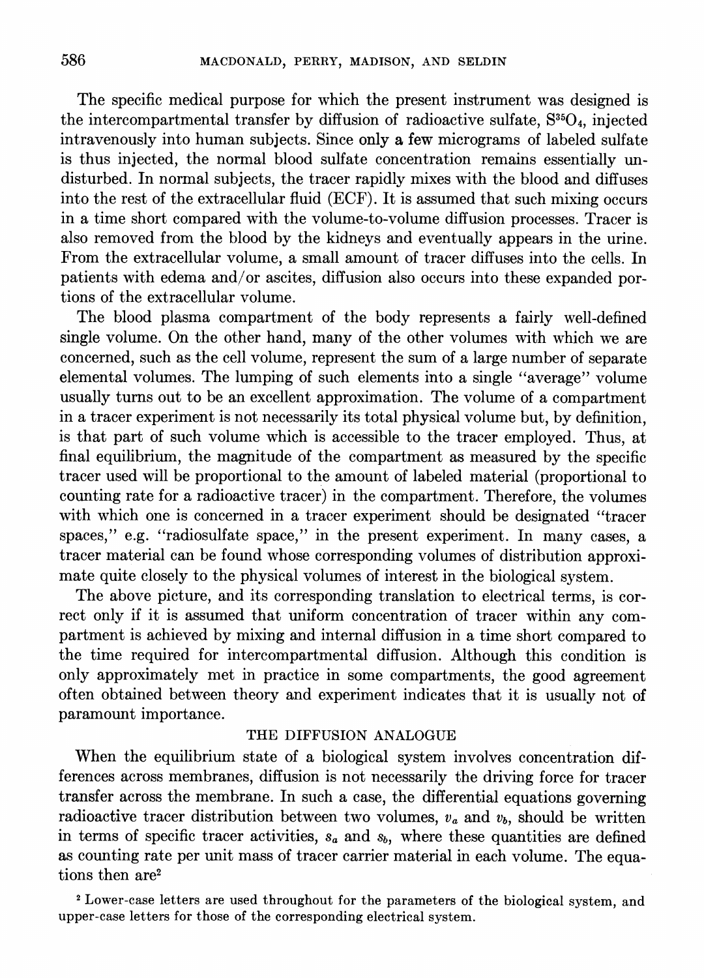**The specific medical purpose for which the present instrument was designed is the intercompartmental transfer by diffusion of radioactive sulfate, S3504, injected intravenously into human subjects. Since only a few micrograms of labeled sulfate is thus injected, the normal blood sulfate concentration remains essentially undisturbed. In normal subjects, the tracer rapidly mixes with the blood and diffuses into the rest of the extracellular fluid (ECF). It is assumed that such mixing occurs in a time short compared with the volume-to-volume diffusion processes. Tracer is also removed from the blood by the kidneys and eventually appears in the urine. From the extracellular volume, a small amount of tracer diffuses into the cells. In patients with edema and/or ascites, diffusion also occurs into these expanded portions of the extracellular volume.** 

**The blood plasma compartment of the body represents a fairly well-defined single volume. On the other hand, many of the other volumes with which we are concerned, such as the cell volume, represent the sum of a large number of separate elemental volumes. The lumping of such elements into a single "average" volume usually turns out to be an excellent approximation. The volume of a compartment in a tracer experiment is not necessarily its total physical volume but, by definition, is that part of such volume which is accessible to the tracer employed. Thus, at final equilibrium, the magnitude of the compartment as measured by the specific tracer used will be proportional to the amount of labeled material (proportional to counting rate for a radioactive tracer) in the compartment. Therefore, the volumes with which one is concerned in a tracer experiment should be designated "tracer spaces," e.g. "radiosulfate space," in the present experiment. In many cases, a tracer material can be found whose corresponding volumes of distribution approximate quite closely to the physical volumes of interest in the biological system.** 

**The above picture, and its corresponding translation to electrical terms, is correct only if it is assumed that uniform concentration of tracer within any compartment is achieved by mixing and internal diffusion in a time short compared to the time required for intercompartmental diffusion. Although this condition is only approximately met in practice in some compartments, the good agreement often obtained between theory and experiment indicates that it is usually not of paramount importance.** 

#### **THE DIFFUSION ANALOGUE**

**When the equilibrium state of a biological system involves concentration differences across membranes, diffusion is not necessarily the driving force for tracer transfer across the membrane. In such a case, the differential equations governing**  radioactive tracer distribution between two volumes,  $v_a$  and  $v_b$ , should be written in terms of specific tracer activities,  $s_a$  and  $s_b$ , where these quantities are defined **as counting rate per unit mass of tracer carrier material in each volume. The equations then are2** 

**<sup>2</sup>Lower-case letters are used throughout for the parameters of the biological system, and upper-case letters for those of the corresponding electrical system.**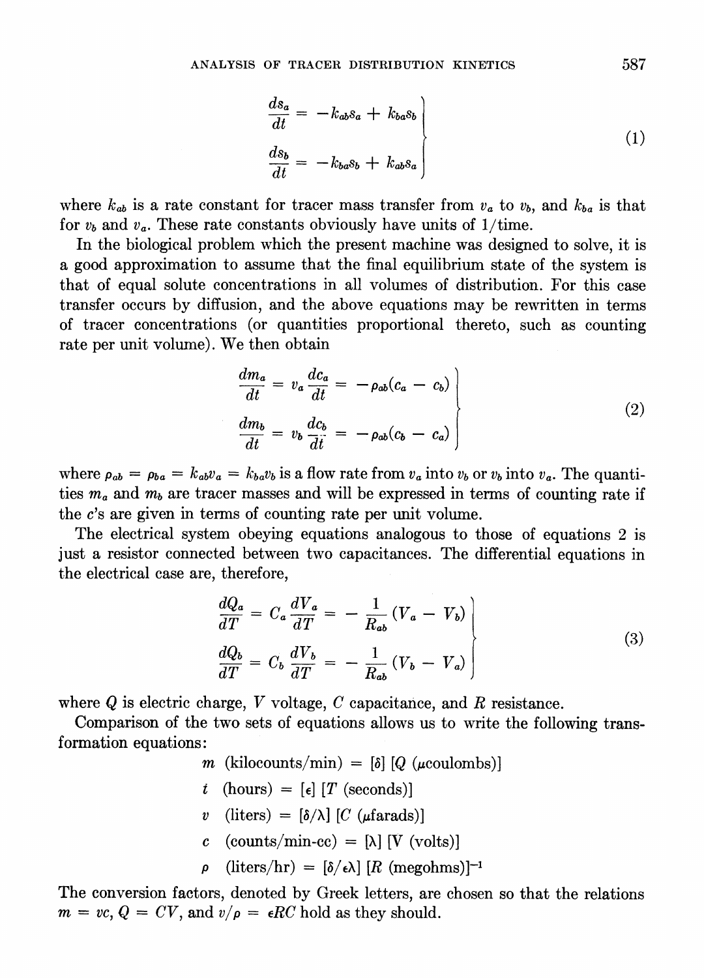$$
\begin{aligned}\n\frac{ds_a}{dt} &= -k_{ab}s_a + k_{ba}s_b \\
\frac{ds_b}{dt} &= -k_{ba}s_b + k_{ab}s_a\n\end{aligned}
$$
\n(1)

where  $k_{ab}$  is a rate constant for tracer mass transfer from  $v_a$  to  $v_b$ , and  $k_{ba}$  is that for  $v_b$  and  $v_a$ . These rate constants obviously have units of  $1/\text{time}$ .

**In the biological problem which the present machine was designed to solve, it is a good approximation to assume that the final equilibrium state of the system is that of equal solute concentrations in all volumes of distribution. For this case transfer occurs by diffusion, and the above equations may be rewritten in terms of tracer concentrations (or quantities proportional thereto, such as counting rate per unit volume). We then obtain** 

$$
\begin{aligned}\n\frac{dm_a}{dt} &= v_a \frac{dc_a}{dt} = -\rho_{ab}(c_a - c_b) \\
\frac{dm_b}{dt} &= v_b \frac{dc_b}{dt} = -\rho_{ab}(c_b - c_a)\n\end{aligned}\n\tag{2}
$$

where  $\rho_{ab} = \rho_{ba} = k_{ab}v_a = k_{ba}v_b$  is a flow rate from  $v_a$  into  $v_b$  or  $v_b$  into  $v_a$ . The quantities  $m_a$  and  $m_b$  are tracer masses and will be expressed in terms of counting rate if **the c's are given in terms of counting rate per unit volume.** 

**The electrical system obeying equations analogous to those of equations 2 is just a resistor connected between two capacitances. The differential equations in the electrical case are, therefore,** 

$$
\frac{dQ_a}{dT} = C_a \frac{dV_a}{dT} = -\frac{1}{R_{ab}} (V_a - V_b)
$$
\n
$$
\frac{dQ_b}{dT} = C_b \frac{dV_b}{dT} = -\frac{1}{R_{ab}} (V_b - V_a)
$$
\n(3)

**where Q is electric charge, V voltage, C capacitance, and R resistance.** 

**Comparison of the two sets of equations allows us to write the following transformation equations:** 

 $m$  (kilocounts/min) = [ $\delta$ ] [Q ( $\mu$ coulombs)]

- $t \text{ (hours)} = [\epsilon] [T \text{ (seconds)}]$
- $v$  (liters) =  $[\delta/\lambda]$  [C ( $\mu$ farads)]
- $c$  (counts/min-cc) = [ $\lambda$ ] [ $\dot{V}$  (volts)]
- $\rho$  (liters/hr) =  $\delta/\epsilon\lambda$  [*R* (megohms)]<sup>-1</sup>

**The conversion factors, denoted by Greek letters, are chosen so that the relations**   $m = vc, Q = CV$ , and  $v/\rho = \epsilon RC$  hold as they should.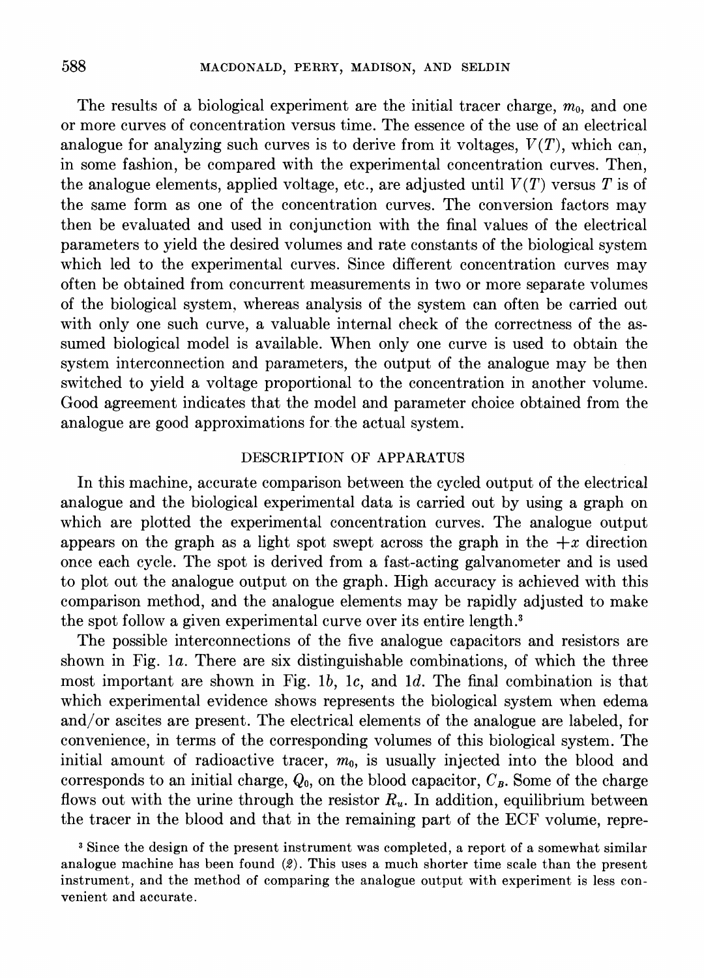The results of a biological experiment are the initial tracer charge,  $m_0$ , and one **or more curves of concentration versus time. The essence of the use of an electrical analogue for analyzing such curves is to derive from it voltages, V(T), which can, in some fashion, be compared with the experimental concentration curves. Then,**  the analogue elements, applied voltage, etc., are adjusted until  $V(T)$  versus T is of **the same form as one of the concentration curves. The conversion factors may then be evaluated and used in conjunction with the final values of the electrical parameters to yield the desired volumes and rate constants of the biological system which led to the experimental curves. Since different concentration curves may often be obtained from concurrent measurements in two or more separate volumes of the biological system, whereas analysis of the system can often be carried out**  with only one such curve, a valuable internal check of the correctness of the as**sumed biological model is available. When only one curve is used to obtain the system interconnection and parameters, the output of the analogue may be then switched to yield a voltage proportional to the concentration in another volume. Good agreement indicates that the model and parameter choice obtained from the analogue are good approximations for the actual system.** 

## **DESCRIPTION OF APPARATUS**

**In this machine, accurate comparison between the cycled output of the electrical analogue and the biological experimental data is carried out by using a graph on**  which are plotted the experimental concentration curves. The analogue output appears on the graph as a light spot swept across the graph in the  $+x$  direction **once each cycle. The spot is derived from a fast-acting galvanometer and is used to plot out the analogue output on the graph. High accuracy is achieved with this comparison method, and the analogue elements may be rapidly adjusted to make the spot follow a given experimental curve over its entire length.3** 

**The possible interconnections of the five analogue capacitors and resistors are shown in Fig. la. There are six distinguishable combinations, of which the three most important are shown in Fig. lb, lc, and ld. The final combination is that which experimental evidence shows represents the biological system when edema and/or ascites are present. The electrical elements of the analogue are labeled, for convenience, in terms of the corresponding volumes of this biological system. The**  initial amount of radioactive tracer,  $m_0$ , is usually injected into the blood and corresponds to an initial charge,  $Q_0$ , on the blood capacitor,  $C_B$ . Some of the charge **flows out with the urine through the resistor Ru. In addition, equilibrium between the tracer in the blood and that in the remaining part of the ECF volume, repre-**

**<sup>3</sup> Since the design of the present instrument was completed, a report of a somewhat similar analogue machine has been found (2). This uses a much shorter time scale than the present instrument, and the method of comparing the analogue output with experiment is less convenient and accurate.**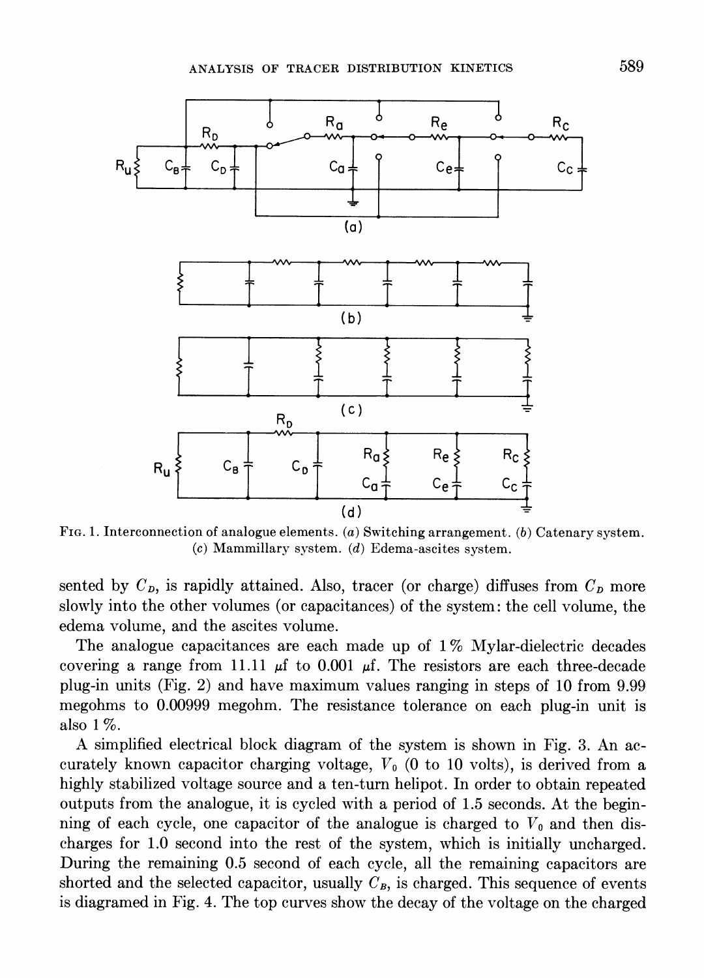

**FIG. 1. Interconnection of analogue elements. (a) Switching arrangement. (b) Catenary system. (c) Mammillary system. (d) Edema-ascites system.** 

sented by  $C<sub>D</sub>$ , is rapidly attained. Also, tracer (or charge) diffuses from  $C<sub>D</sub>$  more **slowly into the other volumes (or capacitances) of the system: the cell volume, the edema volume, and the ascites volume.** 

**The analogue capacitances are each made up of 1 % Mylar-dielectric decades**  covering a range from 11.11  $\mu$ f to 0.001  $\mu$ f. The resistors are each three-decade **plug-in units (Fig. 2) and have maximum values ranging in steps of 10 from 9.99 megohms to 0.00999 megohm. The resistance tolerance on each plug-in unit is also 1 %.** 

**A simplified electrical block diagram of the system is shown in Fig. 3. An ac**curately known capacitor charging voltage,  $V_0$  (0 to 10 volts), is derived from a **highly stabilized voltage source and a ten-turn helipot. In order to obtain repeated outputs from the analogue, it is cycled with a period of 1.5 seconds. At the begin**ning of each cycle, one capacitor of the analogue is charged to  $V_0$  and then dis**charges for 1.0 second into the rest of the system, which is initially uncharged. During the remaining 0.5 second of each cycle, all the remaining capacitors are**  shorted and the selected capacitor, usually  $C_B$ , is charged. This sequence of events **is diagramed in Fig. 4. The top curves show the decay of the voltage on the charged**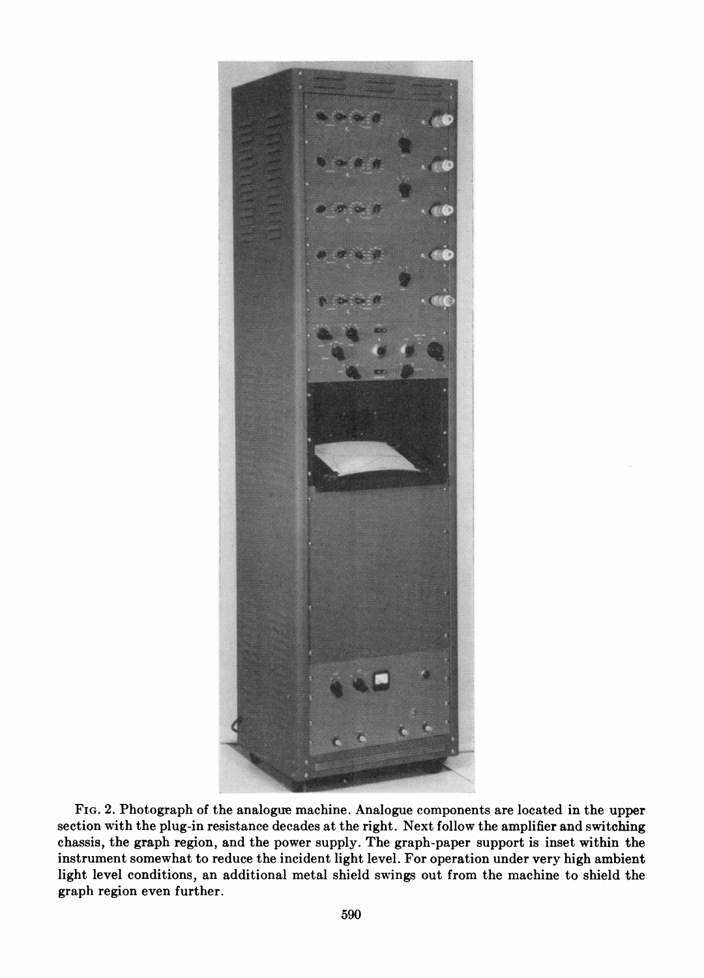**FIG. 2. Photograph of the analogue machine. Analogue components are located in the upper section with the plug-in resistance decades at the right. Next follow the amplifier and switching chassis, the graph region, and the power supply. The graph-paper support is inset within the instrument somewhat to reduce the incident light level. For operation under very high ambient light level conditions, an additional metal shield swings out from the machine to shield the graph region even further.**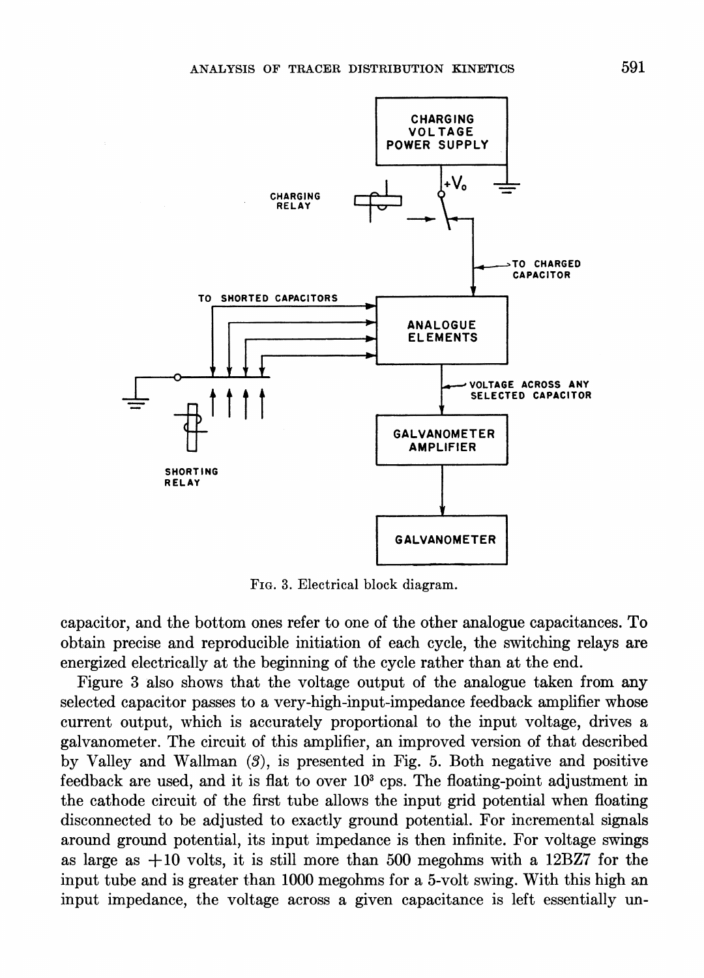

**FIG. 3. Electrical block diagram.** 

**capacitor, and the bottom ones refer to one of the other analogue capacitances. To obtain precise and reproducible initiation of each cycle, the switching relays are energized electrically at the beginning of the cycle rather than at the end.** 

**Figure 3 also shows that the voltage output of the analogue taken from any selected capacitor passes to a very-high-input-impedance feedback amplifier whose current output, which is accurately proportional to the input voltage, drives a galvanometer. The circuit of this amplifier, an improved version of that described by Valley and Wallman (3), is presented in Fig. 5. Both negative and positive feedback are used, and it is flat to over 103 cps. The floating-point adjustment in the cathode circuit of the first tube allows the input grid potential when floating disconnected to be adjusted to exactly ground potential. For incremental signals around ground potential, its input impedance is then infinite. For voltage swings as large as +10 volts, it is still more than 500 megohms with a 12BZ7 for the input tube and is greater than 1000 megohms for a 5-volt swing. With this high an input impedance, the voltage across a given capacitance is left essentially un-**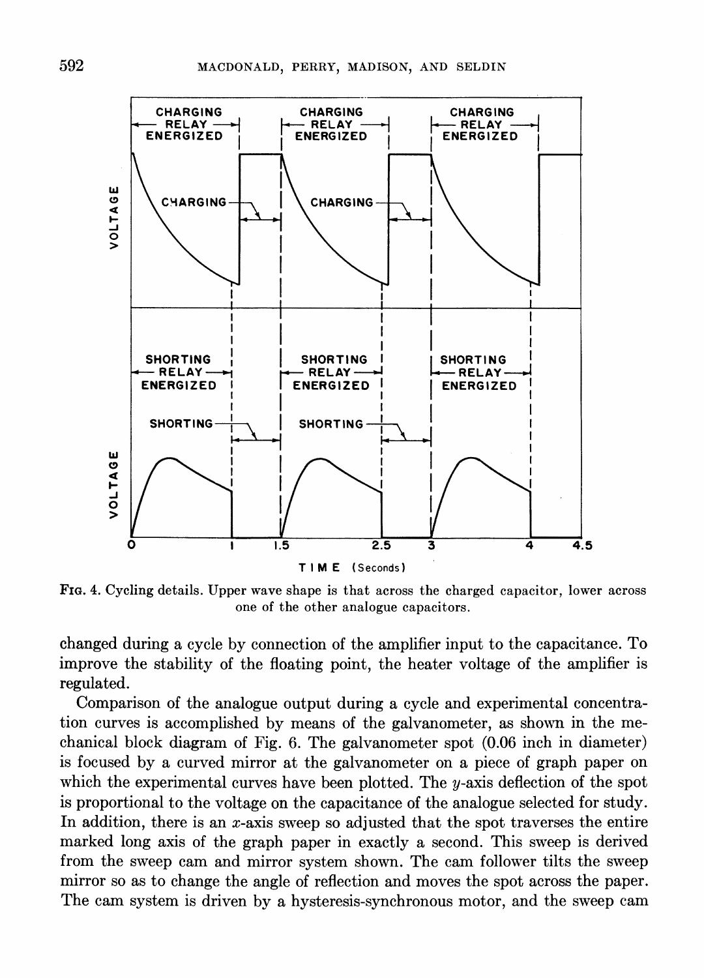

**FIG. 4. Cycling details. Upper wave shape is that across the charged capacitor, lower across one of the other analogue capacitors.** 

**changed during a cycle by connection of the amplifier input to the capacitance. To improve the stability of the floating point, the heater voltage of the amplifier is regulated.** 

**Comparison of the analogue output during a cycle and experimental concentration curves is accomplished by means of the galvanometer, as shown in the mechanical block diagram of Fig. 6. The galvanometer spot (0.06 inch in diameter) is focused by a curved mirror at the galvanometer on a piece of graph paper on which the experimental curves have been plotted. The y-axis deflection of the spot is proportional to the voltage on the capacitance of the analogue selected for study. In addition, there is an x-axis sweep so adjusted that the spot traverses the entire marked long axis of the graph paper in exactly a second. This sweep is derived from the sweep cam and mirror system shown. The cam follower tilts the sweep mirror so as to change the angle of reflection and moves the spot across the paper. The cam system is driven by a hysteresis-synchronous motor, and the sweep cam**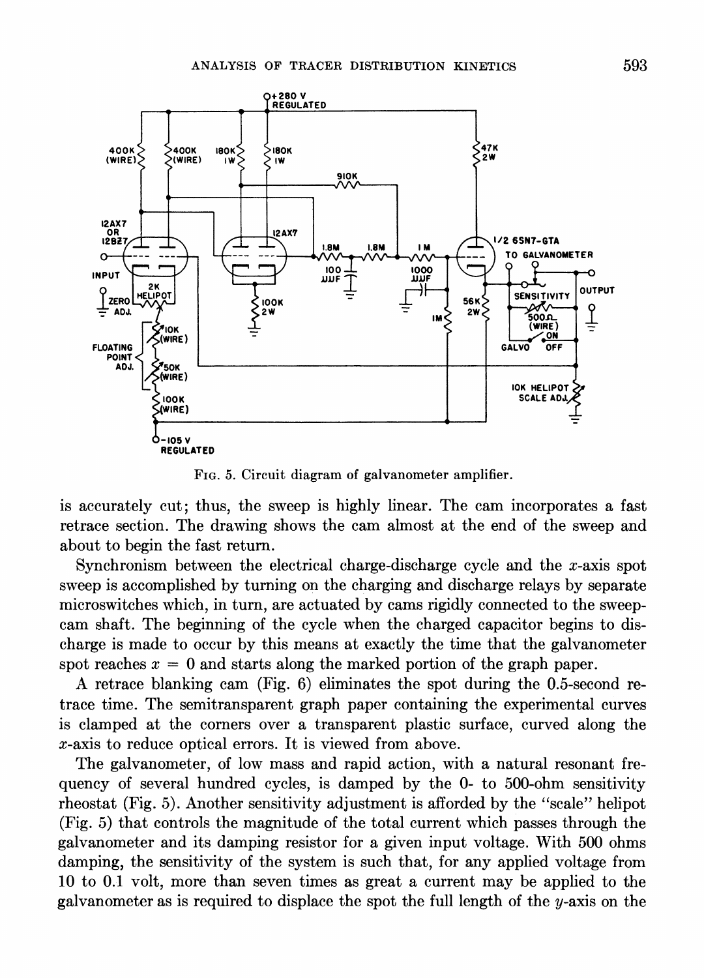

**FIG. 5. Circuit diagram of galvanometer amplifier.** 

**is accurately cut; thus, the sweep is highly linear. The cam incorporates a fast retrace section. The drawing shows the cam almost at the end of the sweep and about to begin the fast return.** 

**Synchronism between the electrical charge-discharge cycle and the x-axis spot sweep is accomplished by turning on the charging and discharge relays by separate microswitches which, in turn, are actuated by cams rigidly connected to the sweepcam shaft. The beginning of the cycle when the charged capacitor begins to discharge is made to occur by this means at exactly the time that the galvanometer**  spot reaches  $x = 0$  and starts along the marked portion of the graph paper.

**A retrace blanking cam (Fig. 6) eliminates the spot during the 0.5-second retrace time. The semitransparent graph paper containing the experimental curves is clamped at the corners over a transparent plastic surface, curved along the x-axis to reduce optical errors. It is viewed from above.** 

**The galvanometer, of low mass and rapid action, with a natural resonant frequency of several hundred cycles, is damped by the 0- to 500-ohm sensitivity rheostat (Fig. 5). Another sensitivity adjustment is afforded by the "scale" helipot (Fig. 5) that controls the magnitude of the total current which passes through the galvanometer and its damping resistor for a given input voltage. With 500 ohms damping, the sensitivity of the system is such that, for any applied voltage from 10 to 0.1 volt, more than seven times as great a current may be applied to the galvanometer as is required to displace the spot the full length of the y-axis on the**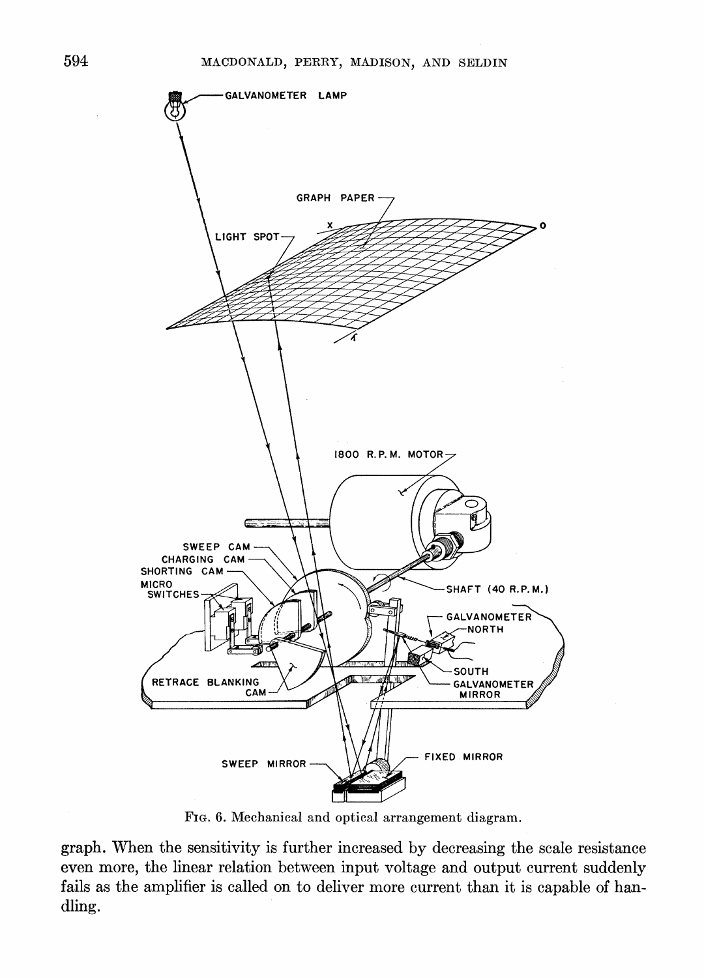

**FIG. 6. Mechanical and optical arrangement diagram.** 

**graph. When the sensitivity is further increased by decreasing the scale resistance even more, the linear relation between input voltage and output current suddenly fails as the amplifier is called on to deliver more current than it is capable of handling.**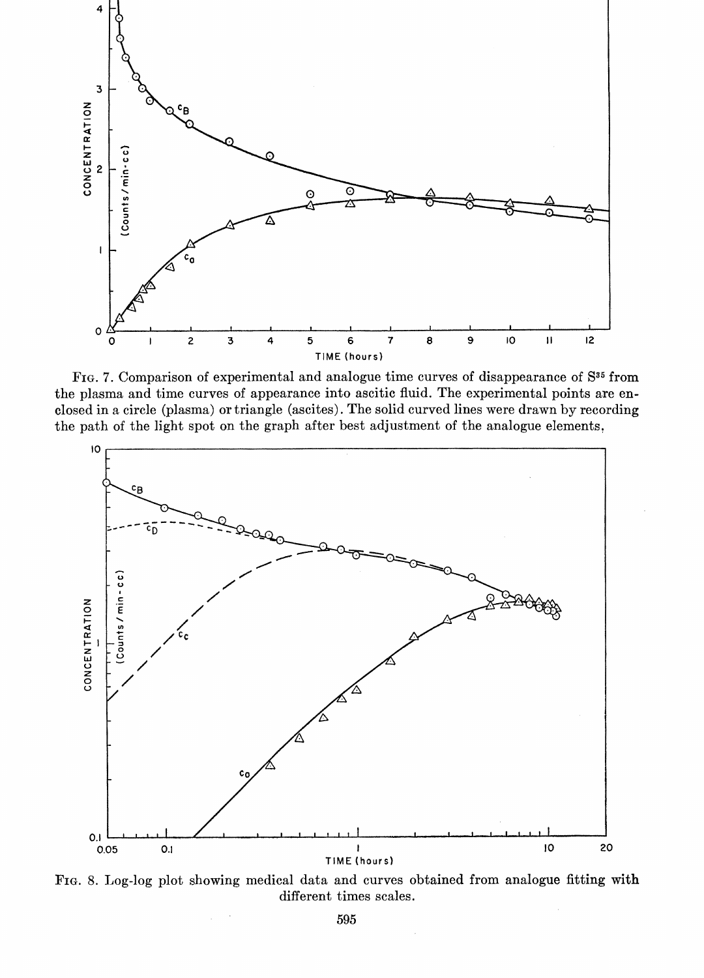

FIG. 7. Comparison of experimental and analogue time curves of disappearance of S<sup>35</sup> from the plasma and time curves of appearance into ascitic fluid. The experimental points are enclosed in a circle (plasma) or triangle (ascites). The solid curved lines were drawn by recording the path of the light spot on the graph after best adjustment of the analogue elements,



FIG. 8. Log-log plot showing medical data and curves obtained from analogue fitting with different times scales.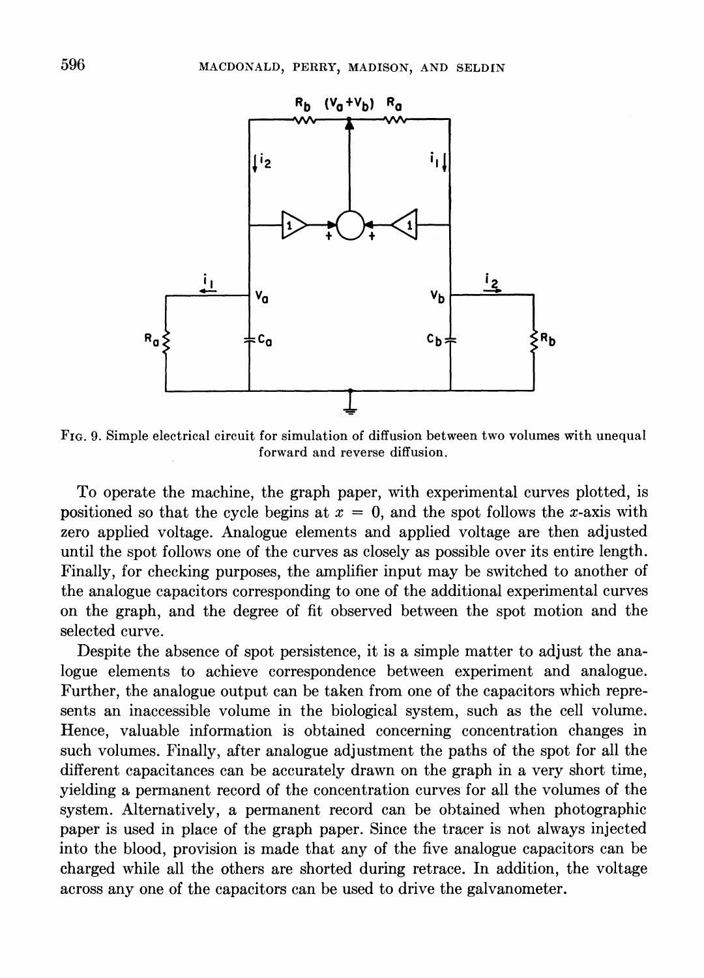

**FIG. 9. Simple electrical circuit for simulation of diffusion between two volumes with unequal forward and reverse diffusion.** 

**To operate the machine, the graph paper, with experimental curves plotted, is positioned so that the cycle begins at**  $x = 0$ **, and the spot follows the x-axis with zero applied voltage. Analogue elements and applied voltage are then adjusted until the spot follows one of the curves as closely as possible over its entire length. Finally, for checking purposes, the amplifier input may be switched to another of the analogue capacitors corresponding to one of the additional experimental curves on the graph, and the degree of fit observed between the spot motion and the selected curve.** 

**Despite the absence of spot persistence, it is a simple matter to adjust the analogue elements to achieve correspondence between experiment and analogue. Further, the analogue output can be taken from one of the capacitors which represents an inaccessible volume in the biological system, such as the cell volume. Hence, valuable information is obtained concerning concentration changes in such volumes. Finally, after analogue adjustment the paths of the spot for all the different capacitances can be accurately drawn on the graph in a very short time, yielding a permanent record of the concentration curves for all the volumes of the system. Alternatively, a permanent record can be obtained when photographic paper is used in place of the graph paper. Since the tracer is not always injected into the blood, provision is made that any of the five analogue capacitors can be charged while all the others are shorted during retrace. In addition, the voltage across any one of the capacitors can be used to drive the galvanometer.**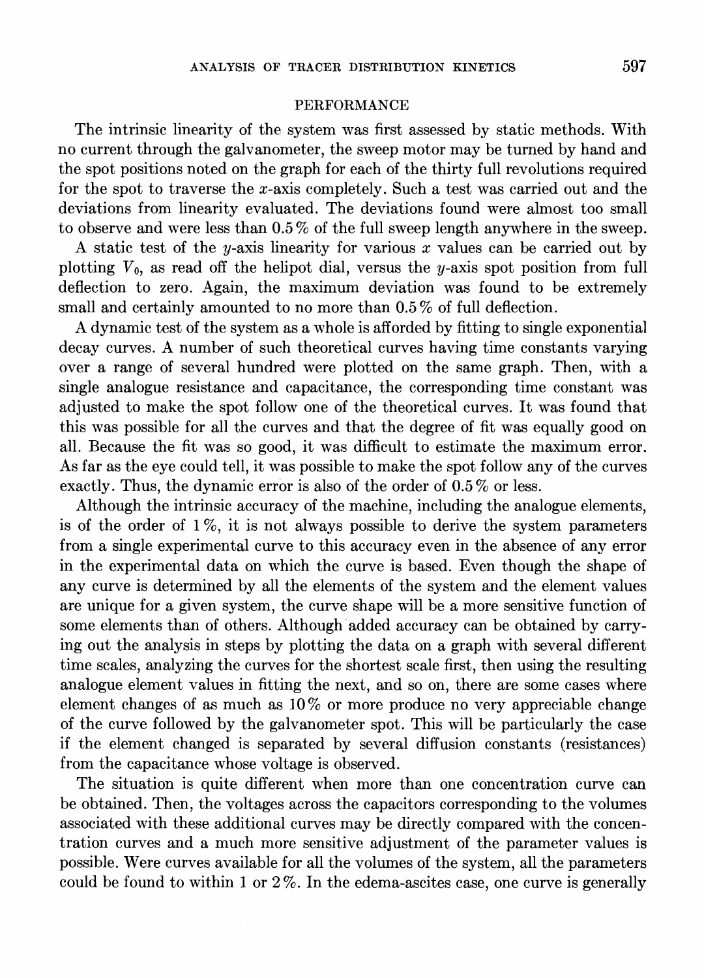#### **PERFORMANCE**

**The intrinsic linearity of the system was first assessed by static methods. With no current through the galvanometer, the sweep motor may be turned by hand and the spot positions noted on the graph for each of the thirty full revolutions required for the spot to traverse the x-axis completely. Such a test was carried out and the deviations from linearity evaluated. The deviations found were almost too small to observe and were less than 0.5 % of the full sweep length anywhere in the sweep.** 

**A static test of the y-axis linearity for various x values can be carried out by**  plotting  $V_0$ , as read off the helipot dial, versus the y-axis spot position from full **deflection to zero. Again, the maximum deviation was found to be extremely small and certainly amounted to no more than 0.5 % of full deflection.** 

**A dynamic test of the system as a whole is afforded by fitting to single exponential decay curves. A number of such theoretical curves having time constants varying over a range of several hundred were plotted on the same graph. Then, with a single analogue resistance and capacitance, the corresponding time constant was adjusted to make the spot follow one of the theoretical curves. It was found that this was possible for all the curves and that the degree of fit was equally good on all. Because the fit was so good, it was difficult to estimate the maximum error. As far as the eye could tell, it was possible to make the spot follow any of the curves exactly. Thus, the dynamic error is also of the order of 0.5 % or less.** 

**Although the intrinsic accuracy of the machine, including the analogue elements, is of the order of 1 %, it is not always possible to derive the system parameters from a single experimental curve to this accuracy even in the absence of any error in the experimental data on which the curve is based. Even though the shape of any curve is determined by all the elements of the system and the element values are unique for a given system, the curve shape will be a more sensitive function of some elements than of others. Although added accuracy can be obtained by carrying out the analysis in steps by plotting the data on a graph with several different time scales, analyzing the curves for the shortest scale first, then using the resulting analogue element values in fitting the next, and so on, there are some cases where element changes of as much as 10 % or more produce no very appreciable change of the curve followed by the galvanometer spot. This will be particularly the case if the element changed is separated by several diffusion constants (resistances) from the capacitance whose voltage is observed.** 

**The situation is quite different when more than one concentration curve can be obtained. Then, the voltages across the capacitors corresponding to the volumes associated with these additional curves may be directly compared with the concentration curves and a much more sensitive adjustment of the parameter values is possible. Were curves available for all the volumes of the system, all the parameters could be found to within 1 or 2 %. In the edema-ascites case, one curve is generally**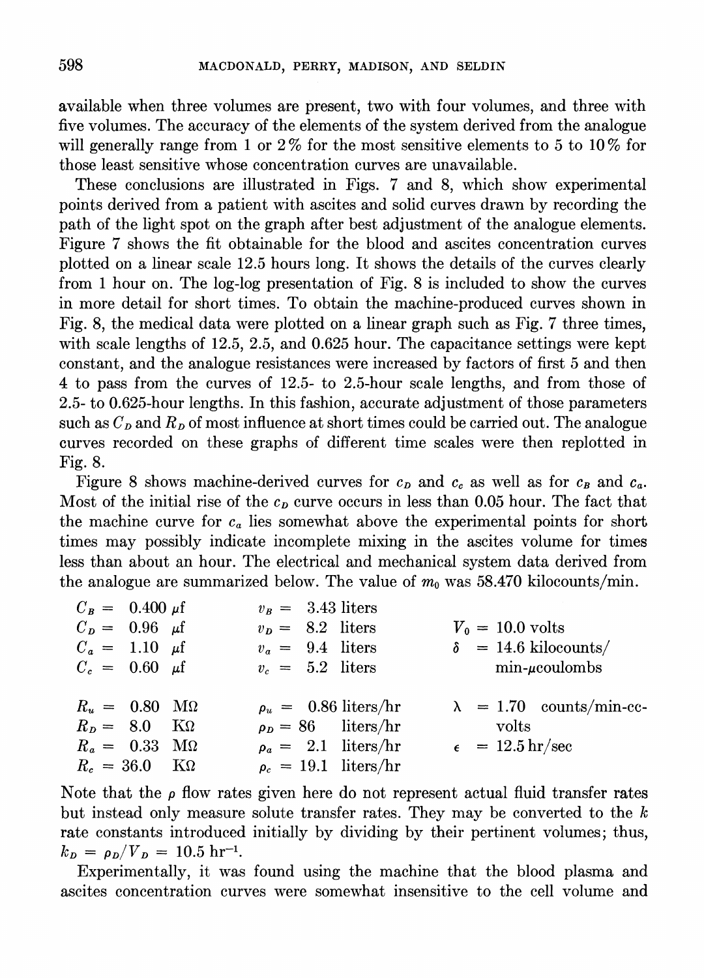**available when three volumes are present, two with four volumes, and three with five volumes. The accuracy of the elements of the system derived from the analogue will generally range from 1 or 2 % for the most sensitive elements to 5 to 10 % for those least sensitive whose concentration curves are unavailable.** 

**These conclusions are illustrated in Figs. 7 and 8, which show experimental points derived from a patient with ascites and solid curves drawn by recording the path of the light spot on the graph after best adjustment of the analogue elements. Figure 7 shows the fit obtainable for the blood and ascites concentration curves plotted on a linear scale 12.5 hours long. It shows the details of the curves clearly from 1 hour on. The log-log presentation of Fig. 8 is included to show the curves in more detail for short times. To obtain the machine-produced curves shown in Fig. 8, the medical data were plotted on a linear graph such as Fig. 7 three times,**  with scale lengths of 12.5, 2.5, and 0.625 hour. The capacitance settings were kept **constant, and the analogue resistances were increased by factors of first 5 and then 4 to pass from the curves of 12.5- to 2.5-hour scale lengths, and from those of 2.5- to 0.625-hour lengths. In this fashion, accurate adjustment of those parameters**  such as  $C<sub>D</sub>$  and  $R<sub>D</sub>$  of most influence at short times could be carried out. The analogue **curves recorded on these graphs of different time scales were then replotted in Fig. 8.** 

**Figure 8 shows machine-derived curves for**  $c<sub>D</sub>$  **and**  $c<sub>c</sub>$  **as well as for**  $c<sub>B</sub>$  **and**  $c<sub>a</sub>$ **.** Most of the initial rise of the  $c<sub>D</sub>$  curve occurs in less than 0.05 hour. The fact that the machine curve for  $c_a$  lies somewhat above the experimental points for short **times may possibly indicate incomplete mixing in the ascites volume for times less than about an hour. The electrical and mechanical system data derived from**  the analogue are summarized below. The value of  $m_0$  was 58.470 kilocounts/min.

| $C_B = 0.400 \,\mu\text{f}$ |  |  | $v_B = 3.43$ liters |                           |  |                                     |
|-----------------------------|--|--|---------------------|---------------------------|--|-------------------------------------|
| $C_{\rm D} = 0.96$ µf       |  |  | $v_p = 8.2$ liters  |                           |  | $V_0 = 10.0$ volts                  |
| $C_a = 1.10 \mu f$          |  |  | $v_a = 9.4$ liters  |                           |  | $\delta = 14.6$ kilocounts/         |
| $C_c = 0.60 \text{ m}$      |  |  | $v_c = 5.2$ liters  |                           |  | $min$ - $\mu$ coulombs              |
|                             |  |  |                     |                           |  |                                     |
| $R_u = 0.80$ MΩ             |  |  |                     | $\rho_u = 0.86$ liters/hr |  | $\lambda = 1.70$ counts/min-cc-     |
| $R_p = 8.0$ KΩ              |  |  |                     | $\rho_D = 86$ liters/hr   |  | volts                               |
| $R_a = 0.33$ MΩ             |  |  |                     | $\rho_a = 2.1$ liters/hr  |  | $\epsilon = 12.5 \,\mathrm{hr/sec}$ |
| $R_c = 36.0$ KΩ             |  |  |                     | $\rho_c = 19.1$ liters/hr |  |                                     |
|                             |  |  |                     |                           |  |                                     |

**Note that the p flow rates given here do not represent actual fluid transfer rates but instead only measure solute transfer rates. They may be converted to the k rate constants introduced initially by dividing by their pertinent volumes; thus,**   $k_D = \rho_D/V_D = 10.5$  hr<sup>-1</sup>.

**Experimentally, it was found using the machine that the blood plasma and ascites concentration curves were somewhat insensitive to the cell volume and**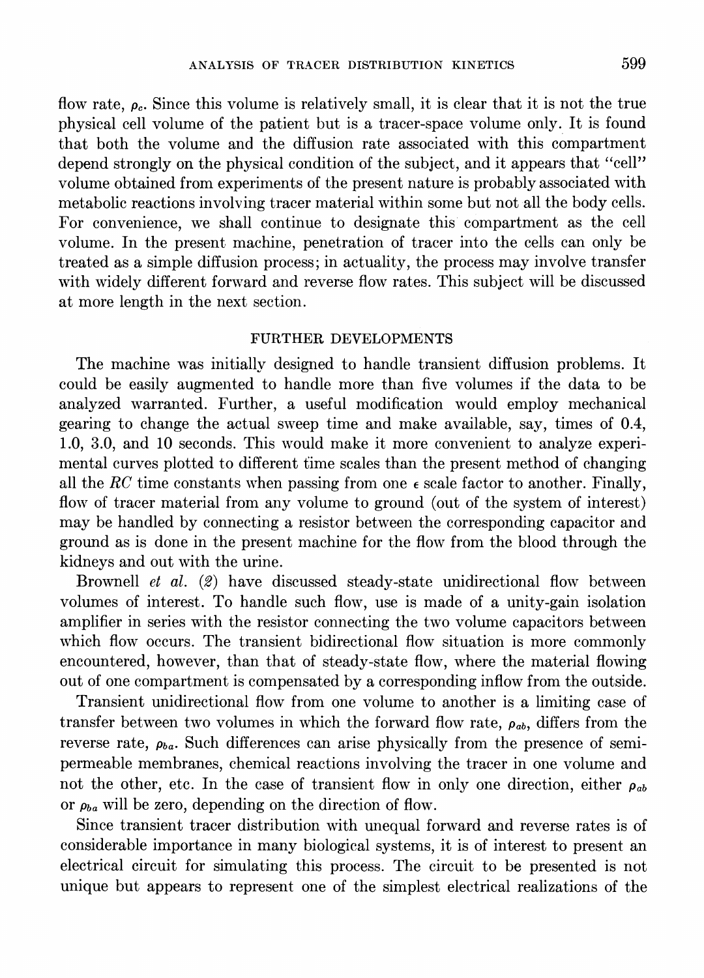flow rate,  $\rho_c$ . Since this volume is relatively small, it is clear that it is not the true **physical cell volume of the patient but is a tracer-space volume only. It is found that both the volume and the diffusion rate associated with this compartment depend strongly on the physical condition of the subject, and it appears that "cell" volume obtained from experiments of the present nature is probably associated with metabolic reactions involving tracer material within some but not all the body cells. For convenience, we shall continue to designate this compartment as the cell volume. In the present machine, penetration of tracer into the cells can only be treated as a simple diffusion process; in actuality, the process may involve transfer with widely different forward and reverse flow rates. This subject will be discussed at more length in the next section.** 

# **FURTHER DEVELOPMENTS**

**The machine was initially designed to handle transient diffusion problems. It could be easily augmented to handle more than five volumes if the data to be analyzed warranted. Further, a useful modification would employ mechanical gearing to change the actual sweep time and make available, say, times of 0.4, 1.0, 3.0, and 10 seconds. This would make it more convenient to analyze experimental curves plotted to different time scales than the present method of changing**  all the RC time constants when passing from one  $\epsilon$  scale factor to another. Finally, **flow of tracer material from any volume to ground (out of the system of interest) may be handled by connecting a resistor between the corresponding capacitor and ground as is done in the present machine for the flow from the blood through the kidneys and out with the urine.** 

**Brownell et al. (2) have discussed steady-state unidirectional flow between volumes of interest. To handle such flow, use is made of a unity-gain isolation amplifier in series with the resistor connecting the two volume capacitors between**  which flow occurs. The transient bidirectional flow situation is more commonly **encountered, however, than that of steady-state flow, where the material flowing out of one compartment is compensated by a corresponding inflow from the outside.** 

**Transient unidirectional flow from one volume to another is a limiting case of transfer between two volumes in which the forward flow rate,**  $\rho_{ab}$ **, differs from the** reverse rate,  $\rho_{ba}$ . Such differences can arise physically from the presence of semi**permeable membranes, chemical reactions involving the tracer in one volume and**  not the other, etc. In the case of transient flow in only one direction, either  $\rho_{ab}$ or  $\rho_{ba}$  will be zero, depending on the direction of flow.

**Since transient tracer distribution with unequal forward and reverse rates is of considerable importance in many biological systems, it is of interest to present an electrical circuit for simulating this process. The circuit to be presented is not unique but appears to represent one of the simplest electrical realizations of the**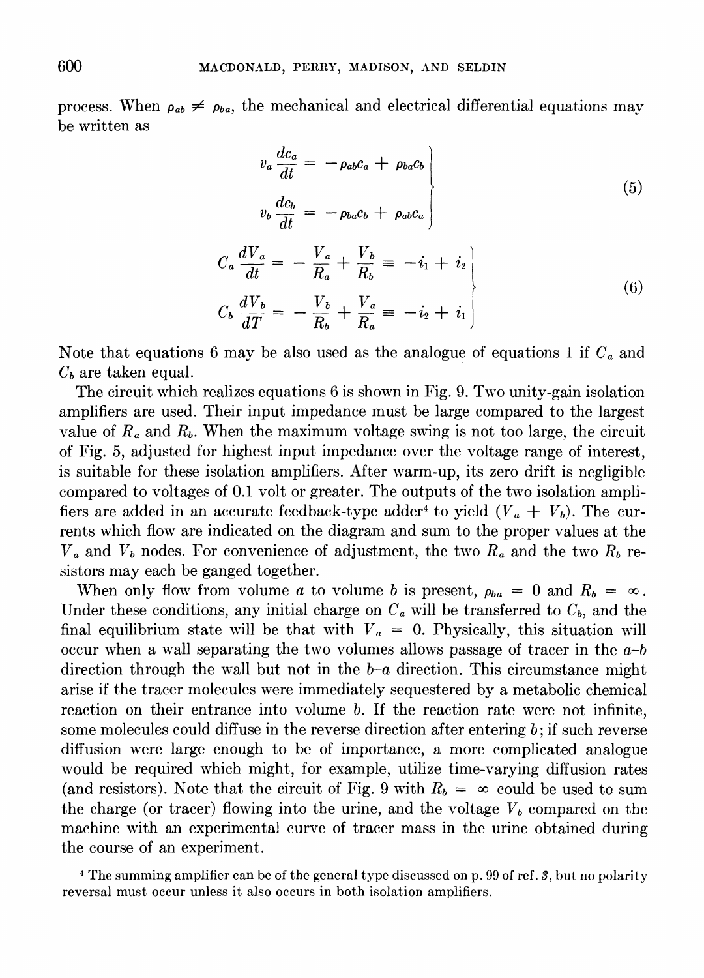process. When  $\rho_{ab} \neq \rho_{ba}$ , the mechanical and electrical differential equations may **be written as** 

$$
v_a \frac{dc_a}{dt} = -\rho_{ab}c_a + \rho_{ba}c_b
$$
  
\n
$$
v_b \frac{dc_b}{dt} = -\rho_{ba}c_b + \rho_{ab}c_a
$$
  
\n
$$
\frac{dV_a}{dt} = -\frac{V_a}{R} + \frac{V_b}{R} = -i_1 + i_2
$$
\n(5)

$$
C_a \frac{dV_b}{dt} = -\frac{V_b}{R_a} + \frac{V_a}{R_b} = -i_1 + i_2
$$
  
\n
$$
C_b \frac{dV_b}{dT} = -\frac{V_b}{R_b} + \frac{V_a}{R_a} = -i_2 + i_1
$$
\n(6)

Note that equations 6 may be also used as the analogue of equations 1 if  $C_a$  and  $C_b$  are taken equal.

**The circuit which realizes equations 6 is shown in Fig. 9. Two unity-gain isolation amplifiers are used. Their input impedance must be large compared to the largest**  value of  $R_a$  and  $R_b$ . When the maximum voltage swing is not too large, the circuit **of Fig. 5, adjusted for highest input impedance over the voltage range of interest, is suitable for these isolation amplifiers. After warm-up, its zero drift is negligible compared to voltages of 0.1 volt or greater. The outputs of the two isolation ampli**fiers are added in an accurate feedback-type adder<sup>4</sup> to yield  $(V_a + V_b)$ . The cur**rents which flow are indicated on the diagram and sum to the proper values at the**   $V_a$  and  $V_b$  nodes. For convenience of adjustment, the two  $R_a$  and the two  $R_b$  re**sistors may each be ganged together.** 

When only flow from volume a to volume b is present,  $\rho_{ba} = 0$  and  $R_b = \infty$ . Under these conditions, any initial charge on  $C_a$  will be transferred to  $C_b$ , and the final equilibrium state will be that with  $V_a = 0$ . Physically, this situation will **occur when a wall separating the two volumes allows passage of tracer in the a-b direction through the wall but not in the b-a direction. This circumstance might arise if the tracer molecules were immediately sequestered by a metabolic chemical reaction on their entrance into volume b. If the reaction rate were not infinite, some molecules could diffuse in the reverse direction after entering b; if such reverse diffusion were large enough to be of importance, a more complicated analogue would be required which might, for example, utilize time-varying diffusion rates**  (and resistors). Note that the circuit of Fig. 9 with  $R_b = \infty$  could be used to sum the charge (or tracer) flowing into the urine, and the voltage  $V<sub>b</sub>$  compared on the **machine with an experimental curve of tracer mass in the urine obtained during the course of an experiment.** 

**<sup>4</sup>The summing amplifier can be of the general type discussed on p. 99 of ref. 3, but no polarity reversal must occur unless it also occurs in both isolation amplifiers.**